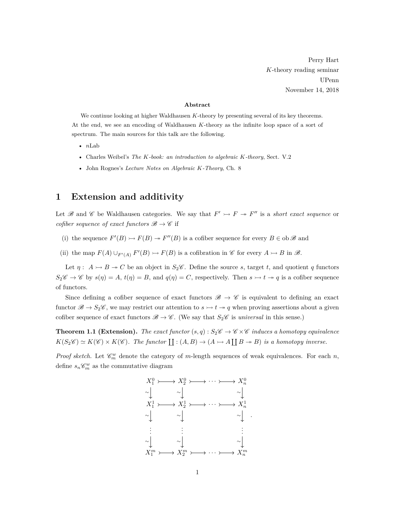Perry Hart *K*-theory reading seminar UPenn November 14, 2018

## **Abstract**

We continue looking at higher Waldhausen *K*-theory by presenting several of its key theorems. At the end, we see an encoding of Waldhausen *K*-theory as the infinite loop space of a sort of spectrum. The main sources for this talk are the following.

- *n*Lab
- Charles Weibel's *The K-book: an introduction to algebraic K-theory*, Sect. V.2
- John Rognes's *Lecture Notes on Algebraic K-Theory*, Ch. 8

## **1 Extension and additivity**

Let B and C be Waldhausen categories. We say that  $F' \rightarrow F \rightarrow F''$  is a *short exact sequence* or *cofiber sequence of exact functors*  $\mathcal{B} \to \mathcal{C}$  if

- (i) the sequence  $F'(B) \rightarrow F(B) \rightarrow F''(B)$  is a cofiber sequence for every  $B \in ob \mathscr{B}$  and
- (ii) the map  $F(A) \cup_{F'(A)} F'(B) \rightarrow F(B)$  is a cofibration in  $\mathscr C$  for every  $A \rightarrow B$  in  $\mathscr B$ .

Let  $\eta: A \rightarrowtail B \twoheadrightarrow C$  be an object in  $S_2$ %. Define the source *s*, target *t*, and quotient *q* functors  $S_2\mathscr{C} \to \mathscr{C}$  by  $s(\eta) = A$ ,  $t(\eta) = B$ , and  $q(\eta) = C$ , respectively. Then  $s \to t \to q$  is a cofiber sequence of functors.

Since defining a cofiber sequence of exact functors  $\mathscr{B} \to \mathscr{C}$  is equivalent to defining an exact functor  $\mathscr{B} \to S_2\mathscr{C}$ , we may restrict our attention to  $s \to t \to q$  when proving assertions about a given cofiber sequence of exact functors  $\mathscr{B} \to \mathscr{C}$ . (We say that  $S_2\mathscr{C}$  is *universal* in this sense.)

<span id="page-0-0"></span>**Theorem 1.1 (Extension).** *The exact functor*  $(s, q) : S_2 \mathscr{C} \to \mathscr{C} \times \mathscr{C}$  *induces a homotopy equivalence*  $K(S_2\mathscr{C}) \simeq K(\mathscr{C}) \times K(\mathscr{C})$ . The functor  $\coprod : (A, B) \to (A \to A \coprod B \to B)$  is a homotopy inverse.

*Proof sketch.* Let  $\mathcal{C}_m^w$  denote the category of *m*-length sequences of weak equivalences. For each *n*, define  $s_n \mathcal{C}_m^w$  as the commutative diagram

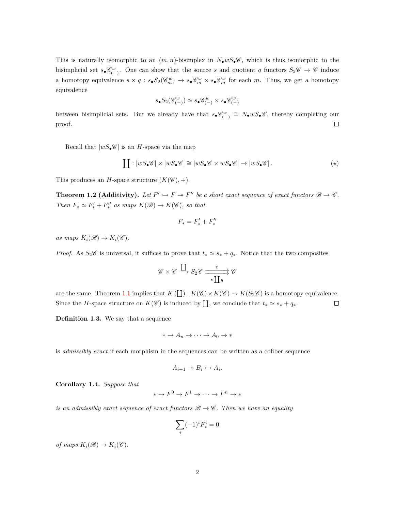This is naturally isomorphic to an  $(m, n)$ -bisimplex in  $N_{\bullet}wS_{\bullet}C$ , which is thus isomorphic to the bisimplicial set  $s_{\bullet}\mathcal{C}_{(-)}^w$ . One can show that the source *s* and quotient *q* functors  $S_2\mathcal{C} \to \mathcal{C}$  induce a homotopy equivalence  $s \times q : s_{\bullet} S_2(\mathscr{C}_m^w) \to s_{\bullet} \mathscr{C}_m^w \times s_{\bullet} \mathscr{C}_m^w$  for each *m*. Thus, we get a homotopy equivalence

$$
s_\bullet S_2(\mathscr{C}_{(-)}^w) \simeq s_\bullet \mathscr{C}_{(-)}^w \times s_\bullet \mathscr{C}_{(-)}^w
$$

between bisimplicial sets. But we already have that  $s_{\bullet} \mathscr{C}^w_{(-)} \cong N_{\bullet} w S_{\bullet} \mathscr{C}$ , thereby completing our  $\Box$ proof.

Recall that  $|wS_{\bullet}\mathscr{C}|$  is an *H*-space via the map

$$
\coprod : |wS_{\bullet} \mathscr{C}| \times |wS_{\bullet} \mathscr{C}| \cong |wS_{\bullet} \mathscr{C} \times wS_{\bullet} \mathscr{C}| \to |wS_{\bullet} \mathscr{C}|.
$$
 (\*)

<span id="page-1-1"></span>This produces an *H*-space structure  $(K(\mathscr{C}), +)$ .

**Theorem 1.2 (Additivity).** Let  $F' \rightarrow F \rightarrow F''$  be a short exact sequence of exact functors  $\mathcal{B} \rightarrow \mathcal{C}$ . *Then*  $F_* \simeq F'_* + F''_*$  *as maps*  $K(\mathcal{B}) \to K(\mathcal{C})$ *, so that* 

<span id="page-1-0"></span>
$$
F_\ast=F_\ast'+F_\ast''
$$

 $as maps K_i(\mathscr{B}) \to K_i(\mathscr{C})$ .

*Proof.* As  $S_2\mathscr{C}$  is universal, it suffices to prove that  $t_* \simeq s_* + q_*$ . Notice that the two composites

$$
\mathscr{C} \times \mathscr{C} \xrightarrow{\coprod} S_2 \mathscr{C} \xrightarrow{\phantom{a}t \phantom{a}} \underline{\coprod} q \mathscr{C}
$$

are the same. Theorem [1.1](#page-0-0) implies that  $K(\Pi): K(\mathscr{C}) \times K(\mathscr{C}) \to K(S_2\mathscr{C})$  is a homotopy equivalence. Since the *H*-space structure on  $K(\mathscr{C})$  is induced by  $\coprod$ , we conclude that  $t_* \simeq s_* + q_*$ .  $\Box$ 

**Definition 1.3.** We say that a sequence

$$
* \to A_n \to \cdots \to A_0 \to *
$$

is *admissibly exact* if each morphism in the sequences can be written as a cofiber sequence

$$
A_{i+1} \twoheadrightarrow B_i \rightarrowtail A_i.
$$

**Corollary 1.4.** *Suppose that*

$$
* \to F^0 \to F^1 \to \cdots \to F^n \to *
$$

*is an admissibly exact sequence of exact functors*  $\mathcal{B} \to \mathcal{C}$ *. Then we have an equality* 

$$
\sum_i (-1)^i F^i_* = 0
$$

*of maps*  $K_i(\mathscr{B}) \to K_i(\mathscr{C})$ *.*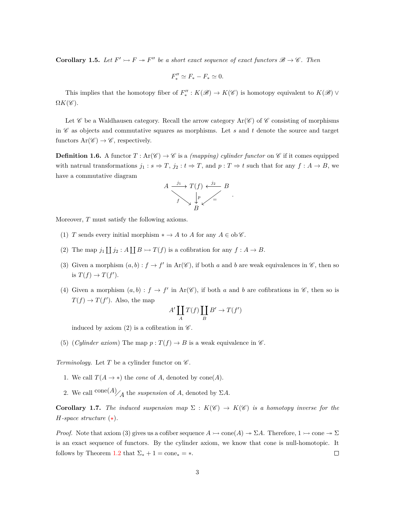**Corollary 1.5.** Let  $F' \rightarrow F \rightarrow F''$  be a short exact sequence of exact functors  $\mathcal{B} \rightarrow \mathcal{C}$ . Then

$$
F''_* \simeq F_* - F_* \simeq 0.
$$

This implies that the homotopy fiber of  $F''_* : K(\mathscr{B}) \to K(\mathscr{C})$  is homotopy equivalent to  $K(\mathscr{B}) \vee$  $\Omega K(\mathscr{C}).$ 

Let  $\mathscr C$  be a Waldhausen category. Recall the arrow category  $\text{Ar}(\mathscr C)$  of  $\mathscr C$  consisting of morphisms in  $\mathscr C$  as objects and commutative squares as morphisms. Let  $s$  and  $t$  denote the source and target functors  $Ar(\mathscr{C}) \to \mathscr{C}$ , respectively.

**Definition 1.6.** A functor  $T : \text{Ar}(\mathscr{C}) \to \mathscr{C}$  is a *(mapping) cylinder functor* on  $\mathscr{C}$  if it comes equipped with natrual transformations  $j_1 : s \Rightarrow T$ ,  $j_2 : t \Rightarrow T$ , and  $p : T \Rightarrow t$  such that for any  $f : A \rightarrow B$ , we have a commutative diagram



Moreover, *T* must satisfy the following axioms.

- (1) *T* sends every initial morphism  $* \to A$  to *A* for any  $A \in ob \mathscr{C}$ .
- (2) The map  $j_1 \coprod j_2 : A \coprod B \rightarrowtail T(f)$  is a cofibration for any  $f : A \rightarrow B$ .
- (3) Given a morphism  $(a, b) : f \to f'$  in Ar( $\mathscr{C}$ ), if both *a* and *b* are weak equivalences in  $\mathscr{C}$ , then so is  $T(f) \to T(f')$ .
- (4) Given a morphism  $(a, b) : f \to f'$  in Ar( $\mathscr{C}$ ), if both *a* and *b* are cofibrations in  $\mathscr{C}$ , then so is  $T(f) \to T(f')$ . Also, the map

$$
A'\coprod_A T(f)\coprod_B B'\to T(f')
$$

induced by axiom (2) is a cofibration in  $\mathscr{C}$ .

(5) (*Cylinder axiom*) The map  $p: T(f) \to B$  is a weak equivalence in  $\mathscr{C}$ .

*Terminology.* Let  $T$  be a cylinder functor on  $\mathscr{C}$ .

- 1. We call  $T(A \rightarrow *)$  the *cone* of *A*, denoted by cone(*A*).
- 2. We call  $\text{cone}(A)$ <sub>*A*</sub> the *suspension* of *A*, denoted by  $\Sigma A$ .

**Corollary 1.7.** *The induced suspension map*  $\Sigma : K(\mathscr{C}) \to K(\mathscr{C})$  *is a homotopy inverse for the H-space structure*  $(\star)$ *.* 

*Proof.* Note that axiom (3) gives us a cofiber sequence  $A \rightarrow \text{cone}(A) \rightarrow \Sigma A$ . Therefore,  $1 \rightarrow \text{cone} \rightarrow \Sigma$ is an exact sequence of functors. By the cylinder axiom, we know that cone is null-homotopic. It follows by Theorem [1.2](#page-1-1) that  $\Sigma_* + 1 = \text{cone}_* = *$ .  $\Box$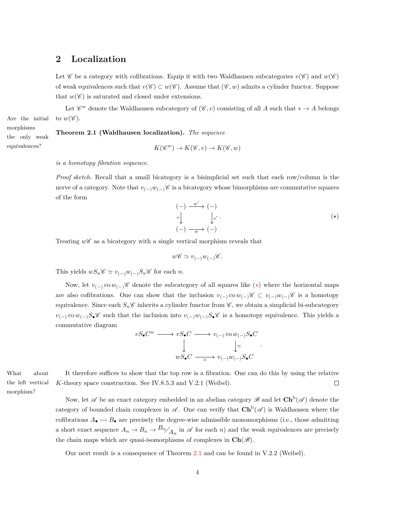## **2 Localization**

Let  $\mathscr C$  be a category with cofibrations. Equip it with two Waldhausen subcategories  $v(\mathscr C)$  and  $w(\mathscr C)$ of weak equivalences such that  $v(\mathscr{C}) \subset w(\mathscr{C})$ . Assume that  $(\mathscr{C}, w)$  admits a cylinder functor. Suppose that  $w(\mathscr{C})$  is saturated and closed under extensions.

Let  $\mathscr{C}^w$  denote the Waldhausen subcategory of  $(\mathscr{C}, v)$  consisting of all *A* such that  $* \to A$  belongs Are the initial to  $w(\mathscr{C})$ .

morphisms the only weak equivalences?

<span id="page-3-1"></span>**Theorem 2.1 (Waldhausen localization).** *The sequence*

$$
K(\mathscr{C}^w) \to K(\mathscr{C},v) \to K(\mathscr{C},w)
$$

*is a homotopy fibration sequence.*

*Proof sketch.* Recall that a small bicategory is a bisimplicial set such that each row/column is the nerve of a category. Note that  $v_{(-)}w_{(-)}\mathscr{C}$  is a bicategory whose bimorphisms are commutative squares of the form

$$
\begin{array}{ccc}\n(-) & \xrightarrow{w'} & (-) \\
\downarrow^{v'} & & \downarrow^{v'} \\
(-) & \xrightarrow{w} & (-)\n\end{array}
$$
\n
$$
(*)
$$

<span id="page-3-0"></span>*.*

Treating  $w\mathscr{C}$  as a bicategory with a single vertical morphism reveals that

$$
w\mathscr{C} \simeq v_{(-)}w_{(-)}\mathscr{C}.
$$

This yields  $wS_n\mathscr{C} \simeq v_{(-)}w_{(-)}S_n\mathscr{C}$  for each *n*.

Now, let  $v_{(-)} \text{ co } w_{(-)} \mathscr{C}$  denote the subcategory of all squares like  $(\star)$  where the horizontal maps are also cofibrations. One can show that the inclusion  $v_{(-)} \text{co } w_{(-)}C \text{ of } v_{(-)}w_{(-)}C$  is a homotopy equivalence. Since each  $S_n\mathscr{C}$  inherits a cylinder functor from  $\mathscr{C}$ , we obtain a simplicial bi-subcategory *v*(−) co *w*(−)*S*•C such that the inclusion into *v*(−)*w*(−)*S*•C is a homotopy equivalence. This yields a commutative diagram

$$
vS_{\bullet}C^w \longrightarrow vS_{\bullet}C \longrightarrow v_{(-)} \text{co } w_{(-)}S_{\bullet}C
$$
  

$$
\downarrow \qquad \qquad \downarrow \simeq
$$
  

$$
wS_{\bullet}C \longrightarrow v_{(-)}w_{(-)}S_{\bullet}C
$$

the left vertical morphism?

What about It therefore suffices to show that the top row is a fibration. One can do this by using the relative *K*-theory space construction. See IV.8.5.3 and V.2.1 (Weibel).  $\Box$ 

> Now, let  $\mathscr A$  be an exact category embedded in an abelian category  $\mathscr B$  and let  $\mathbf{Ch}^{\mathrm{b}}(\mathscr A)$  denote the category of bounded chain complexes in  $\mathscr{A}$ . One can verify that  $\mathbf{Ch}^b(\mathscr{A})$  is Waldhausen where the cofibrations  $A_{\bullet} \rightarrow B_{\bullet}$  are precisely the degree-wise admissible monomorphisms (i.e., those admitting a short exact sequence  $A_n \to B_n \to B_n/ A_n$  in  $\mathscr A$  for each *n*) and the weak equivalences are precisely the chain maps which are quasi-isomorphisms of complexes in  $\text{Ch}(\mathscr{B})$ .

<span id="page-3-2"></span>Our next result is a consequence of Theorem [2.1](#page-3-1) and can be found in V.2.2 (Weibel).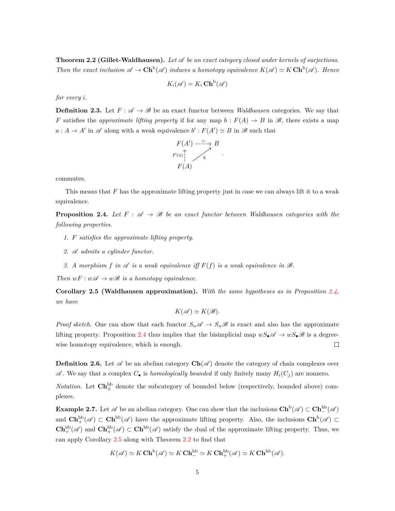**Theorem 2.2 (Gillet-Waldhausen).** Let  $\mathscr A$  be an exact category closed under kernels of surjections. *Then the exact inclusion*  $\mathscr{A} \to \mathbf{Ch}^b(\mathscr{A})$  *induces a homotopy equivalence*  $K(\mathscr{A}) \simeq K \mathbf{Ch}^b(\mathscr{A})$ *. Hence* 

$$
K_i(\mathscr{A}) = K_i \operatorname{Ch}^{\mathrm{b}}(\mathscr{A})
$$

*for every i.*

**Definition 2.3.** Let  $F: \mathcal{A} \to \mathcal{B}$  be an exact functor between *Waldhausen* categories. We say that *F* satisfies the *approximate lifting property* if for any map  $b : F(A) \to B$  in  $\mathcal{B}$ , there exists a map  $a: A \to A'$  in  $\mathscr A$  along with a weak equivalence  $b': F(A') \simeq B$  in  $\mathscr B$  such that



commutes.

This means that *F* has the approximate lifting property just in case we can always lift it to a weak equivalence.

<span id="page-4-0"></span>**Proposition 2.4.** Let  $F : \mathcal{A} \to \mathcal{B}$  be an exact functor between Waldhausen categories with the *following properties.*

- *1. F satisfies the approximate lifting property.*
- *2.* A *admits a cylinder functor.*
- *3. A morphism f* in  $\mathscr A$  *is a weak equivalence iff*  $F(f)$  *is a weak equivalence in*  $\mathscr B$ *.*

*Then*  $wF : w\mathscr{A} \to w\mathscr{B}$  *is a homotopy equivalence.* 

<span id="page-4-1"></span>**Corollary 2.5 (Waldhausen approximation).** *With the same hypotheses as in Proposition [2.4,](#page-4-0) we have*

$$
K(\mathscr{A}) \simeq K(\mathscr{B}).
$$

*Proof sketch.* One can show that each functor  $S_n \mathscr{A} \to S_n \mathscr{B}$  is exact and also has the approximate lifting property. Proposition [2.4](#page-4-0) thus implies that the bisimplicial map  $wS_{\bullet}\mathscr{A} \to wS_{\bullet}\mathscr{B}$  is a degreewise homotopy equivalence, which is enough.  $\Box$ 

**Definition 2.6.** Let  $\mathscr A$  be an abelian category  $\mathbf{Ch}(\mathscr A)$  denote the category of chain complexes over  $\mathscr A$ . We say that a complex  $C_{\bullet}$  is *homologically bounded* if only finitely many  $H_i(C_i)$  are nonzero.

*Notation*. Let  $\mathbf{Ch}^{\text{hb}}_{\pm}$  denote the subcategory of bounded below (respectively, bounded above) complexes.

**Example 2.7.** Let  $\mathscr A$  be an abelian category. One can show that the inclusions  $\mathbf{Ch}^{\mathrm{b}}(\mathscr A)\subset\mathbf{Ch}^{\mathrm{hb}}_{-}(\mathscr A)$ and  $\mathbf{Ch}^{\text{hb}}_{+}(\mathscr{A}) \subset \mathbf{Ch}^{\text{hb}}(\mathscr{A})$  have the approximate lifting property. Also, the inclusions  $\mathbf{Ch}^{\text{b}}(\mathscr{A}) \subset$  $\mathbf{Ch}^{\text{hb}}_{+}(\mathscr{A})$  and  $\mathbf{Ch}^{\text{hb}}_{+}(\mathscr{A}) \subset \mathbf{Ch}^{\text{hb}}(\mathscr{A})$  satisfy the dual of the approximate lifting property. Thus, we can apply Corollary [2.5](#page-4-1) along with Theorem [2.2](#page-3-2) to find that

$$
K(\mathscr{A}) \simeq K\operatorname{\mathbf{Ch}}^{\mathrm{b}}(\mathscr{A}) \simeq K\operatorname{\mathbf{Ch}}^{\mathrm{hb}}_{-} \simeq K\operatorname{\mathbf{Ch}}^{\mathrm{hb}}_{+}(\mathscr{A}) \simeq K\operatorname{\mathbf{Ch}}^{\mathrm{hb}}(\mathscr{A}).
$$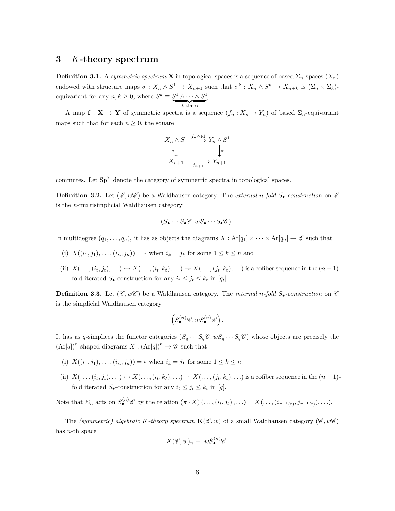## **3** *K***-theory spectrum**

**Definition 3.1.** A *symmetric spectrum* **X** in topological spaces is a sequence of based  $\Sigma_n$ -spaces  $(X_n)$ endowed with structure maps  $\sigma: X_n \wedge S^1 \to X_{n+1}$  such that  $\sigma^k: X_n \wedge S^k \to X_{n+k}$  is  $(\Sigma_n \times \Sigma_k)$ equivariant for any  $n, k \geq 0$ , where  $S^k \equiv S^1 \wedge \cdots \wedge S^1$  $\overline{k}$  times *k* times .

A map  $f: X \to Y$  of symmetric spectra is a sequence  $(f_n: X_n \to Y_n)$  of based  $\Sigma_n$ -equivariant maps such that for each  $n \geq 0$ , the square

$$
X_n \wedge S^1 \xrightarrow{f_n \wedge \mathrm{Id}} Y_n \wedge S^1
$$
  
\n
$$
\downarrow \sigma
$$
  
\n
$$
X_{n+1} \xrightarrow{f_{n+1}} Y_{n+1}
$$

commutes. Let  $Sp^{\Sigma}$  denote the category of symmetric spectra in topological spaces.

**Definition 3.2.** Let  $(\mathscr{C}, w\mathscr{C})$  be a Waldhausen category. The *external n*-fold  $S_{\bullet}$ -construction on  $\mathscr{C}$ is the *n*-multisimplicial Waldhausen category

$$
(S_{\bullet}\cdots S_{\bullet}\mathscr{C},wS_{\bullet}\cdots S_{\bullet}\mathscr{C}).
$$

In multidegree  $(q_1, \ldots, q_n)$ , it has as objects the diagrams  $X : Ar[q_1] \times \cdots \times Ar[q_n] \to \mathscr{C}$  such that

- (i)  $X((i_1, j_1), \ldots, (i_n, j_n)) = *$  when  $i_k = j_k$  for some  $1 \leq k \leq n$  and
- (ii)  $X(\ldots,(i_t,j_t),\ldots) \rightarrow X(\ldots,(i_t,k_t),\ldots) \rightarrow X(\ldots,(j_t,k_t),\ldots)$  is a cofiber sequence in the  $(n-1)$ fold iterated  $S_{\bullet}$ -construction for any  $i_t \leq j_t \leq k_t$  in  $[q_t]$ .

**Definition 3.3.** Let  $(\mathscr{C}, w\mathscr{C})$  be a Waldhausen category. The *internal n*-fold  $S_{\bullet}$ -construction on  $\mathscr{C}$ is the simplicial Waldhausen category

$$
\left(S^{(n)}_\bullet \mathscr{C}, wS^{(n)}_\bullet \mathscr{C}\right).
$$

It has as *q*-simplices the functor categories  $(S_q \cdots S_q \mathscr{C}, wS_q \cdots S_q \mathscr{C})$  whose objects are precisely the  $(\text{Ar}[q])^n$ -shaped diagrams  $X : (\text{Ar}[q])^n \to \mathscr{C}$  such that

- (i)  $X((i_1, j_1), \ldots, (i_n, j_n)) = *$  when  $i_k = j_k$  for some  $1 \leq k \leq n$ .
- (ii)  $X(\ldots,(i_t,j_t),\ldots) \rightarrow X(\ldots,(i_t,k_t),\ldots) \rightarrow X(\ldots,(j_t,k_t),\ldots)$  is a cofiber sequence in the  $(n-1)$ fold iterated  $S_{\bullet}$ -construction for any  $i_t \leq j_t \leq k_t$  in [q].

Note that  $\Sigma_n$  acts on  $S^{(n)}_{\bullet}$  by the relation  $(\pi \cdot X)(\ldots,(i_t,j_t),\ldots) = X(\ldots,(i_{\pi^{-1}(t)},j_{\pi^{-1}(t)}),\ldots).$ 

The *(symmetric) algebraic K-theory spectrum*  $\mathbf{K}(\mathscr{C}, w)$  of a small Waldhausen category  $(\mathscr{C}, w\mathscr{C})$ has *n*-th space

$$
K(\mathscr{C},w)_n \equiv \left| wS_{\bullet}^{(n)}\mathscr{C} \right|
$$